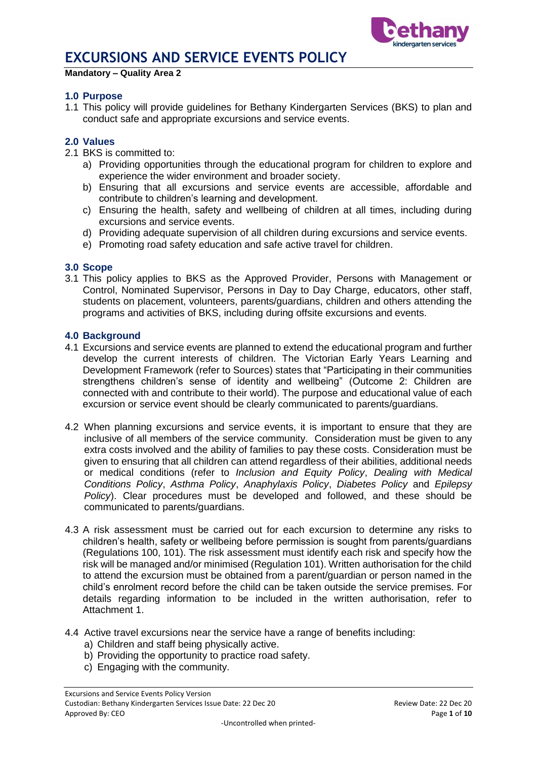

#### **Mandatory – Quality Area 2**

#### **1.0 Purpose**

1.1 This policy will provide guidelines for Bethany Kindergarten Services (BKS) to plan and conduct safe and appropriate excursions and service events.

#### **2.0 Values**

- 2.1 BKS is committed to:
	- a) Providing opportunities through the educational program for children to explore and experience the wider environment and broader society.
	- b) Ensuring that all excursions and service events are accessible, affordable and contribute to children's learning and development.
	- c) Ensuring the health, safety and wellbeing of children at all times, including during excursions and service events.
	- d) Providing adequate supervision of all children during excursions and service events.
	- e) Promoting road safety education and safe active travel for children.

#### **3.0 Scope**

3.1 This policy applies to BKS as the Approved Provider, Persons with Management or Control, Nominated Supervisor, Persons in Day to Day Charge, educators, other staff, students on placement, volunteers, parents/guardians, children and others attending the programs and activities of BKS, including during offsite excursions and events.

#### **4.0 Background**

- 4.1 Excursions and service events are planned to extend the educational program and further develop the current interests of children. The Victorian Early Years Learning and Development Framework (refer to Sources) states that "Participating in their communities strengthens children's sense of identity and wellbeing" (Outcome 2: Children are connected with and contribute to their world). The purpose and educational value of each excursion or service event should be clearly communicated to parents/guardians.
- 4.2 When planning excursions and service events, it is important to ensure that they are inclusive of all members of the service community. Consideration must be given to any extra costs involved and the ability of families to pay these costs. Consideration must be given to ensuring that all children can attend regardless of their abilities, additional needs or medical conditions (refer to *Inclusion and Equity Policy*, *Dealing with Medical Conditions Policy*, *Asthma Policy*, *Anaphylaxis Policy*, *Diabetes Policy* and *Epilepsy Policy*). Clear procedures must be developed and followed, and these should be communicated to parents/guardians.
- 4.3 A risk assessment must be carried out for each excursion to determine any risks to children's health, safety or wellbeing before permission is sought from parents/guardians (Regulations 100, 101). The risk assessment must identify each risk and specify how the risk will be managed and/or minimised (Regulation 101). Written authorisation for the child to attend the excursion must be obtained from a parent/guardian or person named in the child's enrolment record before the child can be taken outside the service premises. For details regarding information to be included in the written authorisation, refer to Attachment 1.
- 4.4 Active travel excursions near the service have a range of benefits including:
	- a) Children and staff being physically active.
	- b) Providing the opportunity to practice road safety.
	- c) Engaging with the community.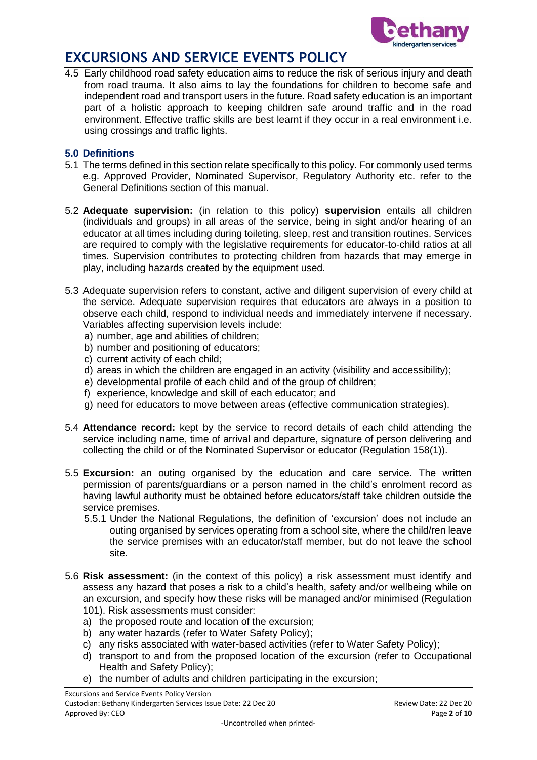

4.5 Early childhood road safety education aims to reduce the risk of serious injury and death from road trauma. It also aims to lay the foundations for children to become safe and independent road and transport users in the future. Road safety education is an important part of a holistic approach to keeping children safe around traffic and in the road environment. Effective traffic skills are best learnt if they occur in a real environment i.e. using crossings and traffic lights.

### **5.0 Definitions**

- 5.1 The terms defined in this section relate specifically to this policy. For commonly used terms e.g. Approved Provider, Nominated Supervisor, Regulatory Authority etc. refer to the General Definitions section of this manual.
- 5.2 **Adequate supervision:** (in relation to this policy) **supervision** entails all children (individuals and groups) in all areas of the service, being in sight and/or hearing of an educator at all times including during toileting, sleep, rest and transition routines. Services are required to comply with the legislative requirements for educator-to-child ratios at all times. Supervision contributes to protecting children from hazards that may emerge in play, including hazards created by the equipment used.
- 5.3 Adequate supervision refers to constant, active and diligent supervision of every child at the service. Adequate supervision requires that educators are always in a position to observe each child, respond to individual needs and immediately intervene if necessary. Variables affecting supervision levels include:
	- a) number, age and abilities of children;
	- b) number and positioning of educators;
	- c) current activity of each child;
	- d) areas in which the children are engaged in an activity (visibility and accessibility);
	- e) developmental profile of each child and of the group of children;
	- f) experience, knowledge and skill of each educator; and
	- g) need for educators to move between areas (effective communication strategies).
- 5.4 **Attendance record:** kept by the service to record details of each child attending the service including name, time of arrival and departure, signature of person delivering and collecting the child or of the Nominated Supervisor or educator (Regulation 158(1)).
- 5.5 **Excursion:** an outing organised by the education and care service. The written permission of parents/guardians or a person named in the child's enrolment record as having lawful authority must be obtained before educators/staff take children outside the service premises.
	- 5.5.1 Under the National Regulations, the definition of 'excursion' does not include an outing organised by services operating from a school site, where the child/ren leave the service premises with an educator/staff member, but do not leave the school site.
- 5.6 **Risk assessment:** (in the context of this policy) a risk assessment must identify and assess any hazard that poses a risk to a child's health, safety and/or wellbeing while on an excursion, and specify how these risks will be managed and/or minimised (Regulation 101). Risk assessments must consider:
	- a) the proposed route and location of the excursion;
	- b) any water hazards (refer to Water Safety Policy);
	- c) any risks associated with water-based activities (refer to Water Safety Policy);
	- d) transport to and from the proposed location of the excursion (refer to Occupational Health and Safety Policy);
	- e) the number of adults and children participating in the excursion;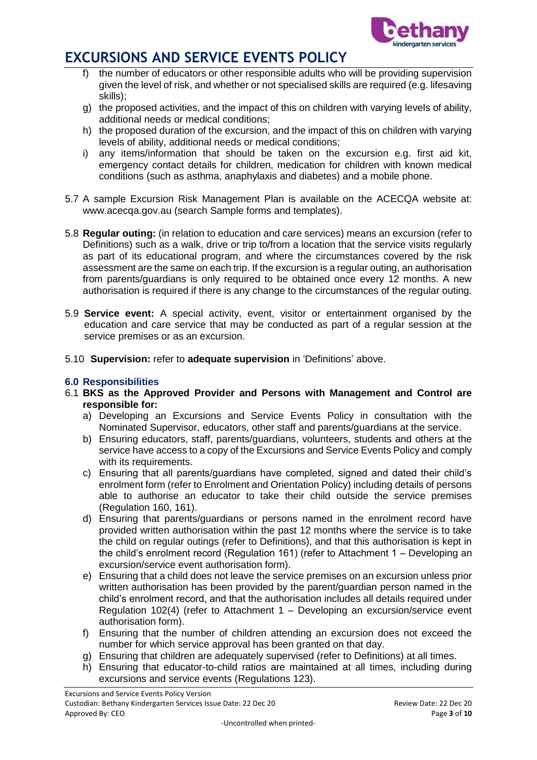

- the number of educators or other responsible adults who will be providing supervision given the level of risk, and whether or not specialised skills are required (e.g. lifesaving skills);
- g) the proposed activities, and the impact of this on children with varying levels of ability, additional needs or medical conditions;
- h) the proposed duration of the excursion, and the impact of this on children with varying levels of ability, additional needs or medical conditions;
- i) any items/information that should be taken on the excursion e.g. first aid kit, emergency contact details for children, medication for children with known medical conditions (such as asthma, anaphylaxis and diabetes) and a mobile phone.
- 5.7 A sample Excursion Risk Management Plan is available on the ACECQA website at: www.acecqa.gov.au (search Sample forms and templates).
- 5.8 **Regular outing:** (in relation to education and care services) means an excursion (refer to Definitions) such as a walk, drive or trip to/from a location that the service visits regularly as part of its educational program, and where the circumstances covered by the risk assessment are the same on each trip. If the excursion is a regular outing, an authorisation from parents/guardians is only required to be obtained once every 12 months. A new authorisation is required if there is any change to the circumstances of the regular outing.
- 5.9 **Service event:** A special activity, event, visitor or entertainment organised by the education and care service that may be conducted as part of a regular session at the service premises or as an excursion.
- 5.10 **Supervision:** refer to **adequate supervision** in 'Definitions' above.

### **6.0 Responsibilities**

- 6.1 **BKS as the Approved Provider and Persons with Management and Control are responsible for:**
	- a) Developing an Excursions and Service Events Policy in consultation with the Nominated Supervisor, educators, other staff and parents/guardians at the service.
	- b) Ensuring educators, staff, parents/guardians, volunteers, students and others at the service have access to a copy of the Excursions and Service Events Policy and comply with its requirements.
	- c) Ensuring that all parents/guardians have completed, signed and dated their child's enrolment form (refer to Enrolment and Orientation Policy) including details of persons able to authorise an educator to take their child outside the service premises (Regulation 160, 161).
	- d) Ensuring that parents/guardians or persons named in the enrolment record have provided written authorisation within the past 12 months where the service is to take the child on regular outings (refer to Definitions), and that this authorisation is kept in the child's enrolment record (Regulation 161) (refer to Attachment 1 – Developing an excursion/service event authorisation form).
	- e) Ensuring that a child does not leave the service premises on an excursion unless prior written authorisation has been provided by the parent/guardian person named in the child's enrolment record, and that the authorisation includes all details required under Regulation 102(4) (refer to Attachment  $1 -$  Developing an excursion/service event authorisation form).
	- f) Ensuring that the number of children attending an excursion does not exceed the number for which service approval has been granted on that day.
	- g) Ensuring that children are adequately supervised (refer to Definitions) at all times.
	- h) Ensuring that educator-to-child ratios are maintained at all times, including during excursions and service events (Regulations 123).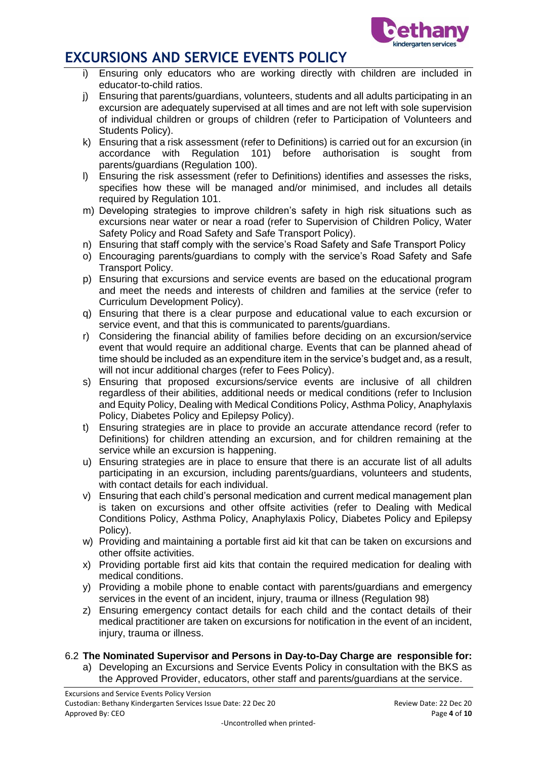

- i) Ensuring only educators who are working directly with children are included in educator-to-child ratios.
- j) Ensuring that parents/guardians, volunteers, students and all adults participating in an excursion are adequately supervised at all times and are not left with sole supervision of individual children or groups of children (refer to Participation of Volunteers and Students Policy).
- k) Ensuring that a risk assessment (refer to Definitions) is carried out for an excursion (in accordance with Regulation 101) before authorisation is sought from parents/guardians (Regulation 100).
- l) Ensuring the risk assessment (refer to Definitions) identifies and assesses the risks, specifies how these will be managed and/or minimised, and includes all details required by Regulation 101.
- m) Developing strategies to improve children's safety in high risk situations such as excursions near water or near a road (refer to Supervision of Children Policy, Water Safety Policy and Road Safety and Safe Transport Policy).
- n) Ensuring that staff comply with the service's Road Safety and Safe Transport Policy
- o) Encouraging parents/guardians to comply with the service's Road Safety and Safe Transport Policy.
- p) Ensuring that excursions and service events are based on the educational program and meet the needs and interests of children and families at the service (refer to Curriculum Development Policy).
- q) Ensuring that there is a clear purpose and educational value to each excursion or service event, and that this is communicated to parents/guardians.
- r) Considering the financial ability of families before deciding on an excursion/service event that would require an additional charge. Events that can be planned ahead of time should be included as an expenditure item in the service's budget and, as a result, will not incur additional charges (refer to Fees Policy).
- s) Ensuring that proposed excursions/service events are inclusive of all children regardless of their abilities, additional needs or medical conditions (refer to Inclusion and Equity Policy, Dealing with Medical Conditions Policy, Asthma Policy, Anaphylaxis Policy, Diabetes Policy and Epilepsy Policy).
- t) Ensuring strategies are in place to provide an accurate attendance record (refer to Definitions) for children attending an excursion, and for children remaining at the service while an excursion is happening.
- u) Ensuring strategies are in place to ensure that there is an accurate list of all adults participating in an excursion, including parents/guardians, volunteers and students, with contact details for each individual.
- v) Ensuring that each child's personal medication and current medical management plan is taken on excursions and other offsite activities (refer to Dealing with Medical Conditions Policy, Asthma Policy, Anaphylaxis Policy, Diabetes Policy and Epilepsy Policy).
- w) Providing and maintaining a portable first aid kit that can be taken on excursions and other offsite activities.
- x) Providing portable first aid kits that contain the required medication for dealing with medical conditions.
- y) Providing a mobile phone to enable contact with parents/guardians and emergency services in the event of an incident, injury, trauma or illness (Regulation 98)
- z) Ensuring emergency contact details for each child and the contact details of their medical practitioner are taken on excursions for notification in the event of an incident, injury, trauma or illness.
- 6.2 **The Nominated Supervisor and Persons in Day-to-Day Charge are responsible for:**
	- a) Developing an Excursions and Service Events Policy in consultation with the BKS as the Approved Provider, educators, other staff and parents/guardians at the service.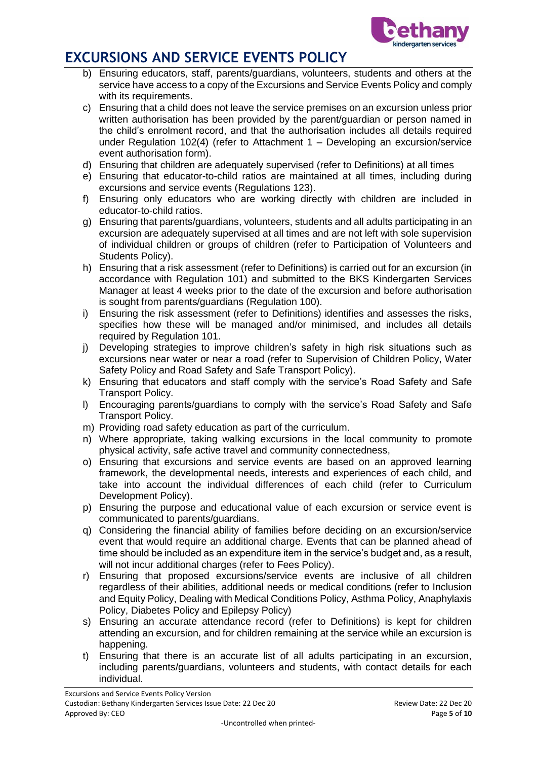

- b) Ensuring educators, staff, parents/guardians, volunteers, students and others at the service have access to a copy of the Excursions and Service Events Policy and comply with its requirements.
- c) Ensuring that a child does not leave the service premises on an excursion unless prior written authorisation has been provided by the parent/guardian or person named in the child's enrolment record, and that the authorisation includes all details required under Regulation 102(4) (refer to Attachment 1 – Developing an excursion/service event authorisation form).
- d) Ensuring that children are adequately supervised (refer to Definitions) at all times
- e) Ensuring that educator-to-child ratios are maintained at all times, including during excursions and service events (Regulations 123).
- f) Ensuring only educators who are working directly with children are included in educator-to-child ratios.
- g) Ensuring that parents/guardians, volunteers, students and all adults participating in an excursion are adequately supervised at all times and are not left with sole supervision of individual children or groups of children (refer to Participation of Volunteers and Students Policy).
- h) Ensuring that a risk assessment (refer to Definitions) is carried out for an excursion (in accordance with Regulation 101) and submitted to the BKS Kindergarten Services Manager at least 4 weeks prior to the date of the excursion and before authorisation is sought from parents/guardians (Regulation 100).
- i) Ensuring the risk assessment (refer to Definitions) identifies and assesses the risks, specifies how these will be managed and/or minimised, and includes all details required by Regulation 101.
- j) Developing strategies to improve children's safety in high risk situations such as excursions near water or near a road (refer to Supervision of Children Policy, Water Safety Policy and Road Safety and Safe Transport Policy).
- k) Ensuring that educators and staff comply with the service's Road Safety and Safe Transport Policy.
- l) Encouraging parents/guardians to comply with the service's Road Safety and Safe Transport Policy.
- m) Providing road safety education as part of the curriculum.
- n) Where appropriate, taking walking excursions in the local community to promote physical activity, safe active travel and community connectedness,
- o) Ensuring that excursions and service events are based on an approved learning framework, the developmental needs, interests and experiences of each child, and take into account the individual differences of each child (refer to Curriculum Development Policy).
- p) Ensuring the purpose and educational value of each excursion or service event is communicated to parents/guardians.
- q) Considering the financial ability of families before deciding on an excursion/service event that would require an additional charge. Events that can be planned ahead of time should be included as an expenditure item in the service's budget and, as a result, will not incur additional charges (refer to Fees Policy).
- r) Ensuring that proposed excursions/service events are inclusive of all children regardless of their abilities, additional needs or medical conditions (refer to Inclusion and Equity Policy, Dealing with Medical Conditions Policy, Asthma Policy, Anaphylaxis Policy, Diabetes Policy and Epilepsy Policy)
- s) Ensuring an accurate attendance record (refer to Definitions) is kept for children attending an excursion, and for children remaining at the service while an excursion is happening.
- t) Ensuring that there is an accurate list of all adults participating in an excursion, including parents/guardians, volunteers and students, with contact details for each individual.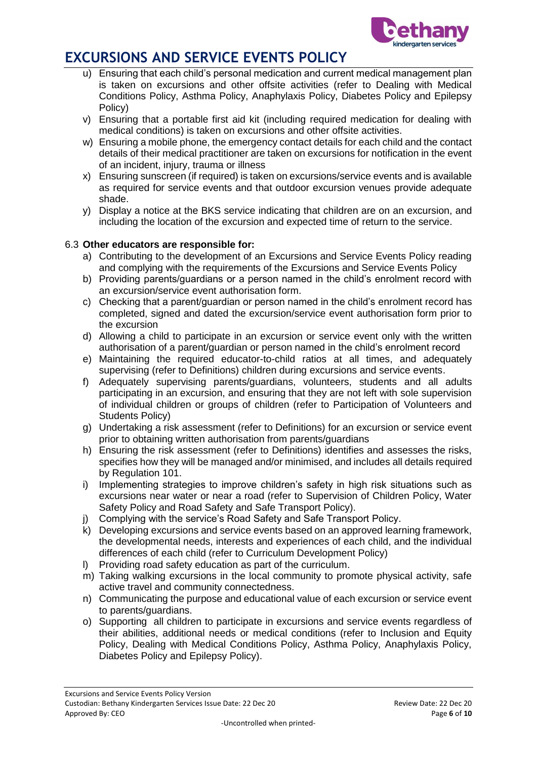

- u) Ensuring that each child's personal medication and current medical management plan is taken on excursions and other offsite activities (refer to Dealing with Medical Conditions Policy, Asthma Policy, Anaphylaxis Policy, Diabetes Policy and Epilepsy Policy)
- v) Ensuring that a portable first aid kit (including required medication for dealing with medical conditions) is taken on excursions and other offsite activities.
- w) Ensuring a mobile phone, the emergency contact details for each child and the contact details of their medical practitioner are taken on excursions for notification in the event of an incident, injury, trauma or illness
- x) Ensuring sunscreen (if required) is taken on excursions/service events and is available as required for service events and that outdoor excursion venues provide adequate shade.
- y) Display a notice at the BKS service indicating that children are on an excursion, and including the location of the excursion and expected time of return to the service.

### 6.3 **Other educators are responsible for:**

- a) Contributing to the development of an Excursions and Service Events Policy reading and complying with the requirements of the Excursions and Service Events Policy
- b) Providing parents/guardians or a person named in the child's enrolment record with an excursion/service event authorisation form.
- c) Checking that a parent/guardian or person named in the child's enrolment record has completed, signed and dated the excursion/service event authorisation form prior to the excursion
- d) Allowing a child to participate in an excursion or service event only with the written authorisation of a parent/guardian or person named in the child's enrolment record
- e) Maintaining the required educator-to-child ratios at all times, and adequately supervising (refer to Definitions) children during excursions and service events.
- f) Adequately supervising parents/guardians, volunteers, students and all adults participating in an excursion, and ensuring that they are not left with sole supervision of individual children or groups of children (refer to Participation of Volunteers and Students Policy)
- g) Undertaking a risk assessment (refer to Definitions) for an excursion or service event prior to obtaining written authorisation from parents/guardians
- h) Ensuring the risk assessment (refer to Definitions) identifies and assesses the risks, specifies how they will be managed and/or minimised, and includes all details required by Regulation 101.
- i) Implementing strategies to improve children's safety in high risk situations such as excursions near water or near a road (refer to Supervision of Children Policy, Water Safety Policy and Road Safety and Safe Transport Policy).
- j) Complying with the service's Road Safety and Safe Transport Policy.
- k) Developing excursions and service events based on an approved learning framework, the developmental needs, interests and experiences of each child, and the individual differences of each child (refer to Curriculum Development Policy)
- l) Providing road safety education as part of the curriculum.
- m) Taking walking excursions in the local community to promote physical activity, safe active travel and community connectedness.
- n) Communicating the purpose and educational value of each excursion or service event to parents/guardians.
- o) Supporting all children to participate in excursions and service events regardless of their abilities, additional needs or medical conditions (refer to Inclusion and Equity Policy, Dealing with Medical Conditions Policy, Asthma Policy, Anaphylaxis Policy, Diabetes Policy and Epilepsy Policy).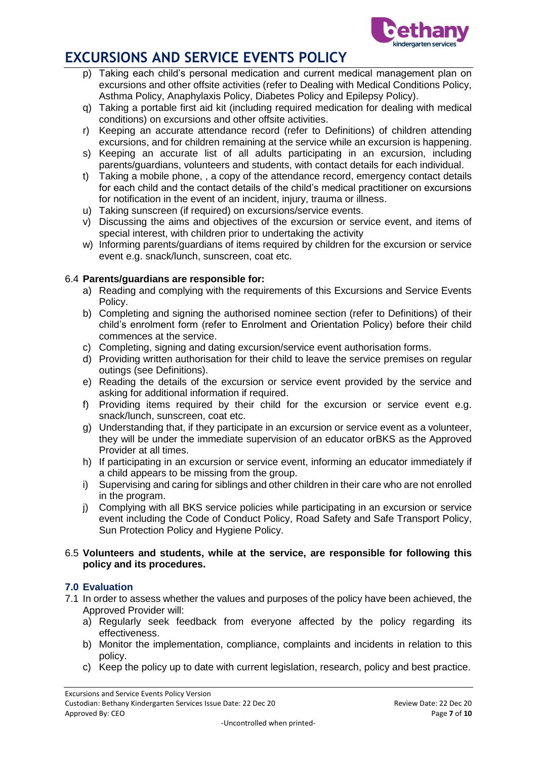

- p) Taking each child's personal medication and current medical management plan on excursions and other offsite activities (refer to Dealing with Medical Conditions Policy, Asthma Policy, Anaphylaxis Policy, Diabetes Policy and Epilepsy Policy).
- q) Taking a portable first aid kit (including required medication for dealing with medical conditions) on excursions and other offsite activities.
- r) Keeping an accurate attendance record (refer to Definitions) of children attending excursions, and for children remaining at the service while an excursion is happening.
- s) Keeping an accurate list of all adults participating in an excursion, including parents/guardians, volunteers and students, with contact details for each individual.
- t) Taking a mobile phone, , a copy of the attendance record, emergency contact details for each child and the contact details of the child's medical practitioner on excursions for notification in the event of an incident, injury, trauma or illness.
- u) Taking sunscreen (if required) on excursions/service events.
- v) Discussing the aims and objectives of the excursion or service event, and items of special interest, with children prior to undertaking the activity
- w) Informing parents/guardians of items required by children for the excursion or service event e.g. snack/lunch, sunscreen, coat etc.

### 6.4 **Parents/guardians are responsible for:**

- a) Reading and complying with the requirements of this Excursions and Service Events Policy.
- b) Completing and signing the authorised nominee section (refer to Definitions) of their child's enrolment form (refer to Enrolment and Orientation Policy) before their child commences at the service.
- c) Completing, signing and dating excursion/service event authorisation forms.
- d) Providing written authorisation for their child to leave the service premises on regular outings (see Definitions).
- e) Reading the details of the excursion or service event provided by the service and asking for additional information if required.
- f) Providing items required by their child for the excursion or service event e.g. snack/lunch, sunscreen, coat etc.
- g) Understanding that, if they participate in an excursion or service event as a volunteer, they will be under the immediate supervision of an educator orBKS as the Approved Provider at all times.
- h) If participating in an excursion or service event, informing an educator immediately if a child appears to be missing from the group.
- i) Supervising and caring for siblings and other children in their care who are not enrolled in the program.
- j) Complying with all BKS service policies while participating in an excursion or service event including the Code of Conduct Policy, Road Safety and Safe Transport Policy, Sun Protection Policy and Hygiene Policy.

#### 6.5 **Volunteers and students, while at the service, are responsible for following this policy and its procedures.**

#### **7.0 Evaluation**

- 7.1 In order to assess whether the values and purposes of the policy have been achieved, the Approved Provider will:
	- a) Regularly seek feedback from everyone affected by the policy regarding its effectiveness.
	- b) Monitor the implementation, compliance, complaints and incidents in relation to this policy.
	- c) Keep the policy up to date with current legislation, research, policy and best practice.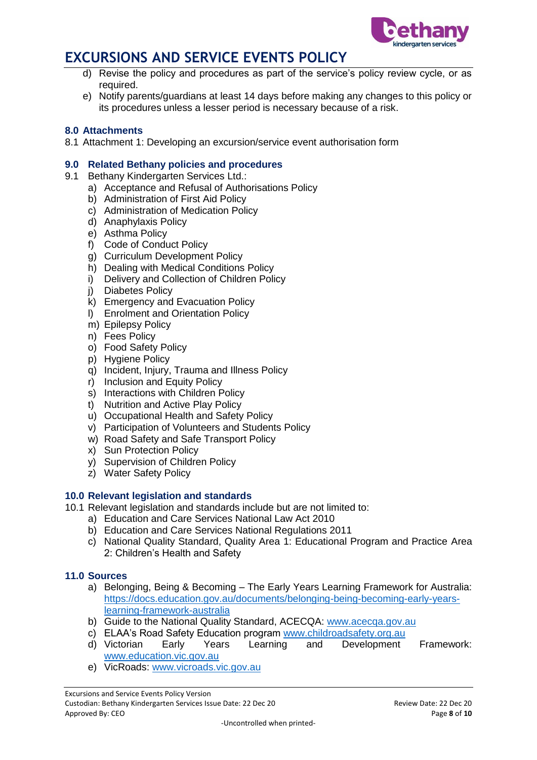

- d) Revise the policy and procedures as part of the service's policy review cycle, or as required.
- e) Notify parents/guardians at least 14 days before making any changes to this policy or its procedures unless a lesser period is necessary because of a risk.

### **8.0 Attachments**

8.1 Attachment 1: Developing an excursion/service event authorisation form

### **9.0 Related Bethany policies and procedures**

- 9.1 Bethany Kindergarten Services Ltd.:
	- a) Acceptance and Refusal of Authorisations Policy
	- b) Administration of First Aid Policy
	- c) Administration of Medication Policy
	- d) Anaphylaxis Policy
	- e) Asthma Policy
	- f) Code of Conduct Policy
	- g) Curriculum Development Policy
	- h) Dealing with Medical Conditions Policy
	- i) Delivery and Collection of Children Policy
	- j) Diabetes Policy
	- k) Emergency and Evacuation Policy
	- l) Enrolment and Orientation Policy
	- m) Epilepsy Policy
	- n) Fees Policy
	- o) Food Safety Policy
	- p) Hygiene Policy
	- q) Incident, Injury, Trauma and Illness Policy
	- r) Inclusion and Equity Policy
	- s) Interactions with Children Policy
	- t) Nutrition and Active Play Policy
	- u) Occupational Health and Safety Policy
	- v) Participation of Volunteers and Students Policy
	- w) Road Safety and Safe Transport Policy
	- x) Sun Protection Policy
	- y) Supervision of Children Policy
	- z) Water Safety Policy

#### **10.0 Relevant legislation and standards**

- 10.1 Relevant legislation and standards include but are not limited to:
	- a) Education and Care Services National Law Act 2010
	- b) Education and Care Services National Regulations 2011
	- c) National Quality Standard, Quality Area 1: Educational Program and Practice Area 2: Children's Health and Safety

### **11.0 Sources**

- a) Belonging, Being & Becoming The Early Years Learning Framework for Australia: [https://docs.education.gov.au/documents/belonging-being-becoming-early-years](https://docs.education.gov.au/documents/belonging-being-becoming-early-years-learning-framework-australia)[learning-framework-australia](https://docs.education.gov.au/documents/belonging-being-becoming-early-years-learning-framework-australia)
- b) Guide to the National Quality Standard, ACECQA: [www.acecqa.gov.au](http://www.acecqa.gov.au/)
- c) ELAA's Road Safety Education program [www.childroadsafety.org.au](http://childroadsafety.org.au/)
- d) Victorian Early Years Learning and Development Framework: [www.education.vic.gov.au](http://www.education.vic.gov.au/Pages/default.aspx)
- e) VicRoads: [www.vicroads.vic.gov.au](http://www.vicroads.vic.gov.au/)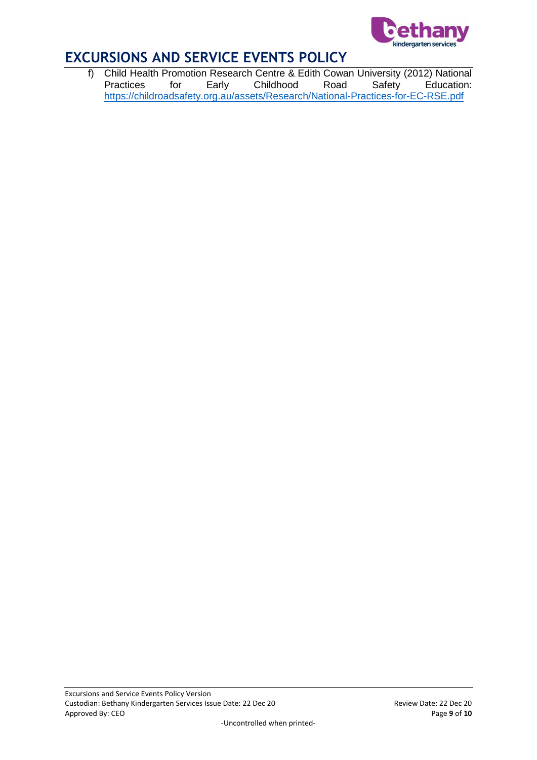

f) Child Health Promotion Research Centre & Edith Cowan University (2012) National **Education:** <https://childroadsafety.org.au/assets/Research/National-Practices-for-EC-RSE.pdf>